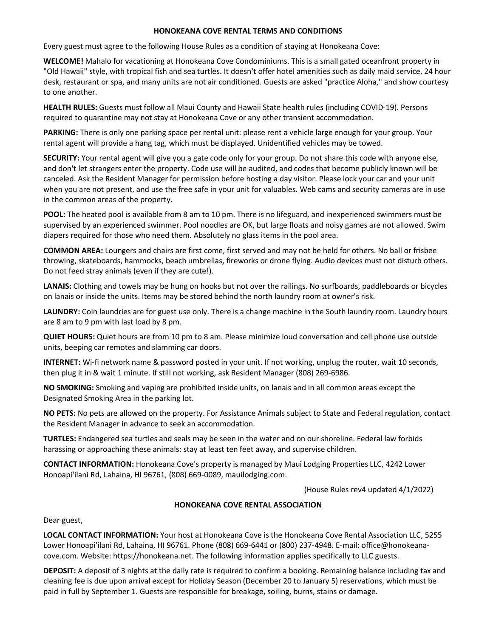## **HONOKEANA COVE RENTAL TERMS AND CONDITIONS**

Every guest must agree to the following House Rules as a condition of staying at Honokeana Cove:

**WELCOME!** Mahalo for vacationing at Honokeana Cove Condominiums. This is a small gated oceanfront property in "Old Hawaii" style, with tropical fish and sea turtles. It doesn't offer hotel amenities such as daily maid service, 24 hour desk, restaurant or spa, and many units are not air conditioned. Guests are asked "practice Aloha," and show courtesy to one another.

**HEALTH RULES:** Guests must follow all Maui County and Hawaii State health rules (including COVID-19). Persons required to quarantine may not stay at Honokeana Cove or any other transient accommodation.

**PARKING:** There is only one parking space per rental unit: please rent a vehicle large enough for your group. Your rental agent will provide a hang tag, which must be displayed. Unidentified vehicles may be towed.

**SECURITY:** Your rental agent will give you a gate code only for your group. Do not share this code with anyone else, and don't let strangers enter the property. Code use will be audited, and codes that become publicly known will be canceled. Ask the Resident Manager for permission before hosting a day visitor. Please lock your car and your unit when you are not present, and use the free safe in your unit for valuables. Web cams and security cameras are in use in the common areas of the property.

**POOL:** The heated pool is available from 8 am to 10 pm. There is no lifeguard, and inexperienced swimmers must be supervised by an experienced swimmer. Pool noodles are OK, but large floats and noisy games are not allowed. Swim diapers required for those who need them. Absolutely no glass items in the pool area.

**COMMON AREA:** Loungers and chairs are first come, first served and may not be held for others. No ball or frisbee throwing, skateboards, hammocks, beach umbrellas, fireworks or drone flying. Audio devices must not disturb others. Do not feed stray animals (even if they are cute!).

**LANAIS:** Clothing and towels may be hung on hooks but not over the railings. No surfboards, paddleboards or bicycles on lanais or inside the units. Items may be stored behind the north laundry room at owner's risk.

**LAUNDRY:** Coin laundries are for guest use only. There is a change machine in the South laundry room. Laundry hours are 8 am to 9 pm with last load by 8 pm.

**QUIET HOURS:** Quiet hours are from 10 pm to 8 am. Please minimize loud conversation and cell phone use outside units, beeping car remotes and slamming car doors.

**INTERNET:** Wi-fi network name & password posted in your unit. If not working, unplug the router, wait 10 seconds, then plug it in & wait 1 minute. If still not working, ask Resident Manager (808) 269-6986.

**NO SMOKING:** Smoking and vaping are prohibited inside units, on lanais and in all common areas except the Designated Smoking Area in the parking lot.

**NO PETS:** No pets are allowed on the property. For Assistance Animals subject to State and Federal regulation, contact the Resident Manager in advance to seek an accommodation.

**TURTLES:** Endangered sea turtles and seals may be seen in the water and on our shoreline. Federal law forbids harassing or approaching these animals: stay at least ten feet away, and supervise children.

**CONTACT INFORMATION:** Honokeana Cove's property is managed by Maui Lodging Properties LLC, 4242 Lower Honoapi'ilani Rd, Lahaina, HI 96761, (808) 669-0089, mauilodging.com.

(House Rules rev4 updated 4/1/2022)

## **HONOKEANA COVE RENTAL ASSOCIATION**

Dear guest,

**LOCAL CONTACT INFORMATION:** Your host at Honokeana Cove is the Honokeana Cove Rental Association LLC, 5255 Lower Honoapi'ilani Rd, Lahaina, HI 96761. Phone (808) 669-6441 or (800) 237-4948. E-mail: office@honokeanacove.com. Website: https://honokeana.net. The following information applies specifically to LLC guests.

**DEPOSIT:** A deposit of 3 nights at the daily rate is required to confirm a booking. Remaining balance including tax and cleaning fee is due upon arrival except for Holiday Season (December 20 to January 5) reservations, which must be paid in full by September 1. Guests are responsible for breakage, soiling, burns, stains or damage.